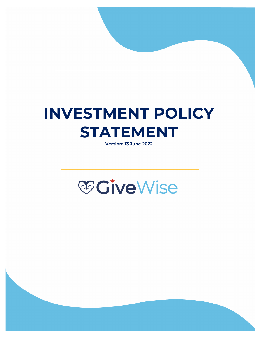# **INVESTMENT POLICY STATEMENT**

**Version: 13 June 2022**

# **@GiveWise**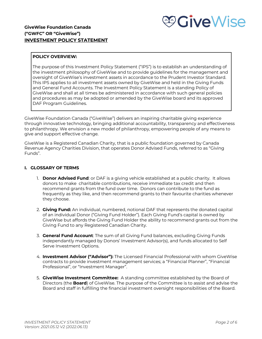# *<b><i>S*CiveWise

# **GiveWise Foundation Canada ("GWFC" OR "GiveWise") INVESTMENT POLICY STATEMENT**

# **POLICY OVERVIEW:**

The purpose of this Investment Policy Statement ("IPS") is to establish an understanding of the investment philosophy of GiveWise and to provide guidelines for the management and oversight of GiveWise's investment assets in accordance to the Prudent Investor Standard. This IPS applies to all investment assets owned by GiveWise and held in the Giving Funds and General Fund Accounts. The Investment Policy Statement is a standing Policy of GiveWise and shall at all times be administered in accordance with such general policies and procedures as may be adopted or amended by the GiveWise board and its approved DAF Program Guidelines.

GiveWise Foundation Canada ("GiveWise") delivers an inspiring charitable giving experience through innovative technology, bringing additional accountability, transparency and effectiveness to philanthropy. We envision a new model of philanthropy, empowering people of any means to give and support effective change.

GiveWise is a Registered Canadian Charity, that is a public foundation governed by Canada Revenue Agency Charities Division, that operates Donor Advised Funds, referred to as "Giving Funds".

# **I. GLOSSARY OF TERMS**

- 1. **Donor Advised Fund**: or DAF is a giving vehicle established at a public charity. It allows donors to make charitable contributions, receive immediate tax credit and then recommend grants from the fund over time. Donors can contribute to the fund as frequently as they like, and then recommend grants to their favourite charities whenever they choose.
- 2. **Giving Fund:** An individual, numbered, notional DAF that represents the donated capital of an individual Donor ("Giving Fund Holder"). Each Giving Fund's capital is owned by GiveWise but affords the Giving Fund Holder the ability to recommend grants out from the Giving Fund to any Registered Canadian Charity.
- 3. **General Fund Account**: The sum of all Giving Fund balances, excluding Giving Funds independantly managed by Donors' Investment Advisor(s), and funds allocated to Self Serve Investment Options.
- 4. **Investment Advisor ("Advisor"):** The Licensed Financial Professional with whom GiveWise contracts to provide investment management services; a "Financial Planner", "Financial Professional", or "Investment Manager".
- 5. **GiveWise Investment Committee:** A standing committee established by the Board of Directors (the **Board**) of GiveWise. The purpose of the Committee is to assist and advise the Board and staff in fulfilling the financial investment oversight responsibilities of the Board.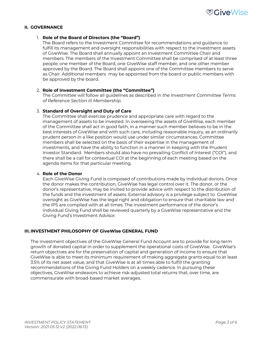

#### **II. GOVERNANCE**

#### 1. **Role of the Board of Directors (the "Board")**

The Board refers to the Investment Committee for recommendations and guidance to fulfill its management and oversight responsibilities with respect to the investment assets of GiveWise. The Board shall annually appoint an Investment Committee Chair and members. The members of the Investment Committee shall be comprised of at least three people; one member of the Board, one GiveWise staff member, and one other member approved by the Board. The Board shall appoint one of the Committee members to serve as Chair. Additional members may be appointed from the board or public members with be approved by the board.

#### 2. **Role of Investment Committee (the "Committee")**

The Committee will follow all guidelines as described in *the Investment Committee Terms of Reference Section III Membership.*

#### 3. **Standard of Oversight and Duty of Care**

The Committee shall exercise prudence and appropriate care with regard to the management of assets to be invested. In overseeing the assets of GiveWise, each member of the Committee shall act in good faith, in a manner such member believes to be in the best interests of GiveWise and with such care, including reasonable inquiry, as an ordinarily prudent person in a like position would use under similar circumstances. Committee members shall be selected on the basis of their expertise in the management of investments, and have the ability to function in a manner in keeping with the Prudent Investor Standard. Members should also have no prevailing Conflict of Interest ("COI"), and there shall be a call for contextual COI at the beginning of each meeting based on the agenda items for that particular meeting.

#### 4. **Role of the Donor**

Each GiveWise Giving Fund is composed of contributions made by individual donors. Once the donor makes the contribution, GiveWise has legal control over it. The donor, or the donor's representative, may be invited to provide advice with respect to the distribution of the funds and the investment of assets. External advisory is a privilege subject to GiveWise oversight as GiveWise has the legal right and obligation to ensure that charitable law and the IPS are complied with at all times. The investment performance of the donor's individual Giving Fund shall be reviewed quarterly by a GiveWise representative and the Giving Fund's Investment Advisor.

## **III. INVESTMENT PHILOSOPHY OF GiveWise GENERAL FUND**

The investment objectives of the GiveWise General Fund Account are to provide for long-term growth of donated capital in order to supplement the operational costs of GiveWise. GiveWise's return objectives are for the preservation of capital and generation of income to ensure that GiveWise is able to meet its minimum requirement of making aggregate grants equal to at least 3.5% of its net asset value, and that GiveWise is at all times able to fulfill the granting recommendations of the Giving Fund Holders on a weekly cadence. In pursuing these objectives, GiveWise endeavors to achieve risk-adjusted total returns that, over time, are commensurate with broad-based market averages.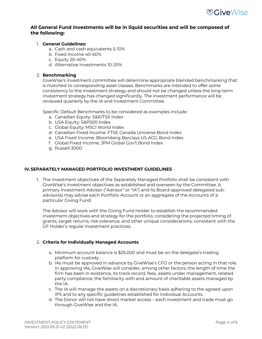# **All General Fund investments will be in liquid securities and will be composed of the following:**

# 1. **General Guidelines:**

- a. Cash and cash equivalents 5-10%
- b. Fixed Income 40-60%
- c. Equity 20-40%
- d. Alternative Investments 10-20%

# 2. **Benchmarking**

GiveWise's investment committee will determine appropriate blended benchmarking that is matched to corresponding asset classes. Benchmarks are intended to offer some consistency to the investment strategy and should not be changed unless the long-term investment strategy has changed significantly. The investment performance will be reviewed quarterly by the IA and Investment Committee.

Specific Default Benchmarks to be considered as examples include:

- a. Canadian Equity: S&P/TSX Index
- b. USA Equity: S&P500 Index
- c. Global Equity: MSCI World Index
- d. Canadian Fixed Income: FTSE Canada Universe Bond Index
- e. USA Fixed Income: Bloomberg Barclays US AGG Bond Index
- f. Global Fixed Income: JPM Global Gov't Bond Index
- g. Russell 3000

# **IV.SEPARATELY MANAGED PORTFOLIO INVESTMENT GUIDELINES**

1. The investment objectives of the Separately Managed Portfolio shall be consistent with GiveWise's investment objectives as established and overseen by the Committee. A primary Investment Advisor ("Advisor" or "IA") and its Board-approved delegated subadvisor(s) may advise each Portfolio Account or an aggregate of the Accounts of a particular Giving Fund.

The Advisor will work with the Giving Fund Holder to establish the recommended investment objectives and strategy for the portfolio, considering the projected timing of grants, target returns, risk tolerance, and other unique considerations, consistent with the GF Holder's regular investment practices.

## 2. **Criteria for Individually Managed Accounts**

- a. Minimum account balance is \$25,000 and must be on the delegate's trading platform for custody.
- b. IAs must be approved in advance by GiveWise's CFO or the person acting in that role. In approving IAs, GiveWise will consider, among other factors, the length of time the firm has been in existence, its track record, fees, assets under management, related party compliance, the familiarity with and amount of charitable assets managed by the IA.
- c. The IA will manage the assets on a discretionary basis adhering to the agreed upon IPS and to any specific guidelines established for individual Accounts.
- d. The Donor will not have direct market access each investment and trade must go through GiveWise and the IA.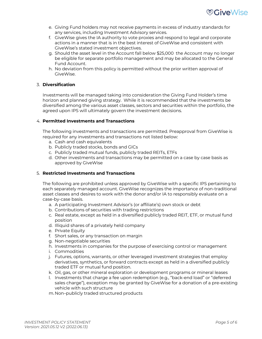

- e. Giving Fund holders may not receive payments in excess of industry standards for any services, including Investment Advisory services.
- f. GiveWise gives the IA authority to vote proxies and respond to legal and corporate actions in a manner that is in the best interest of GiveWise and consistent with GiveWise's stated investment objectives.
- g. Should the asset level in the Account fall below \$25,000 the Account may no longer be eligible for separate portfolio management and may be allocated to the General Fund Account.
- h. No deviation from this policy is permitted without the prior written approval of GiveWise.

# 3. **Diversification**

Investments will be managed taking into consideration the Giving Fund Holder's time horizon and planned giving strategy. While it is recommended that the investments be diversified among the various asset classes, sectors and securities within the portfolio, the agreed upon IPS will ultimately govern the investment decisions.

## 4. **Permitted Investments and Transactions**

The following investments and transactions are permitted. Preapproval from GiveWise is required for any investments and transactions not listed below:

- a. Cash and cash equivalents
- b. Publicly traded stocks, bonds and GICs
- c. Publicly traded mutual funds, publicly traded REITs, ETFs
- d. Other investments and transactions may be permitted on a case by case basis as approved by GiveWise

## 5. **Restricted Investments and Transactions**

The following are prohibited unless approved by GiveWise with a specific IPS pertaining to each separately managed account. GiveWise recognizes the importance of non-traditional asset classes and desires to work with the donor and/or IA to responsibly evaluate on a case-by-case basis.

- a. A participating Investment Advisor's (or affiliate's) own stock or debt
- b. Contributions of securities with trading restrictions
- c. Real estate, except as held in a diversified publicly traded REIT, ETF, or mutual fund position
- d. Illiquid shares of a privately held company
- e. Private Equity
- f. Short sales, or any transaction on margin
- g. Non-negotiable securities
- h. Investments in companies for the purpose of exercising control or management
- i. Commodities
- j. Futures, options, warrants, or other leveraged investment strategies that employ derivatives, synthetics, or forward contracts except as held in a diversified publicly traded ETF or mutual fund position.
- k. Oil, gas, or other mineral exploration or development programs or mineral leases
- l. Investments that charge a fee upon redemption (e.g., "back-end load" or "deferred sales charge"), exception may be granted by GiveWise for a donation of a pre-existing vehicle with such structure
- m. Non–publicly traded structured products